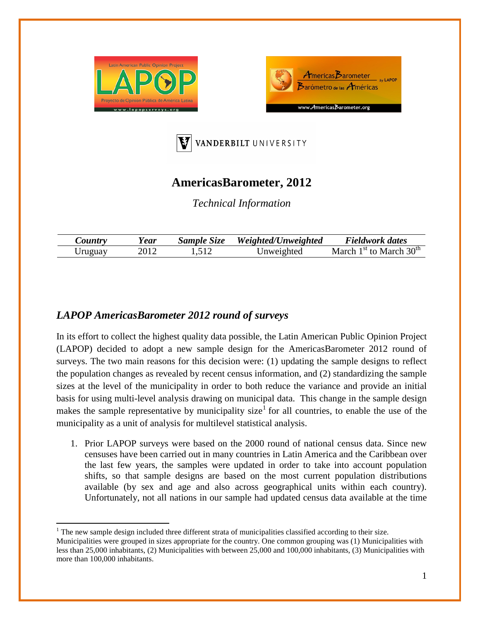





## **AmericasBarometer, 2012**

*Technical Information*

| $\mathcal{L}$ ountry | 'ear | <b>Sample Size</b> | Weighted/Unweighted | Fieldwork dates             |
|----------------------|------|--------------------|---------------------|-----------------------------|
| Jruguay              | 2012 |                    | Jnweighted          | March $1st$ to March $30th$ |

## *LAPOP AmericasBarometer 2012 round of surveys*

In its effort to collect the highest quality data possible, the Latin American Public Opinion Project (LAPOP) decided to adopt a new sample design for the AmericasBarometer 2012 round of surveys. The two main reasons for this decision were: (1) updating the sample designs to reflect the population changes as revealed by recent census information, and (2) standardizing the sample sizes at the level of the municipality in order to both reduce the variance and provide an initial basis for using multi-level analysis drawing on municipal data. This change in the sample design makes the sample representative by municipality size<sup>[1](#page-0-0)</sup> for all countries, to enable the use of the municipality as a unit of analysis for multilevel statistical analysis.

1. Prior LAPOP surveys were based on the 2000 round of national census data. Since new censuses have been carried out in many countries in Latin America and the Caribbean over the last few years, the samples were updated in order to take into account population shifts, so that sample designs are based on the most current population distributions available (by sex and age and also across geographical units within each country). Unfortunately, not all nations in our sample had updated census data available at the time

<span id="page-0-1"></span><span id="page-0-0"></span><sup>&</sup>lt;sup>1</sup> The new sample design included three different strata of municipalities classified according to their size. Municipalities were grouped in sizes appropriate for the country. One common grouping was (1) Municipalities with less than 25,000 inhabitants, (2) Municipalities with between 25,000 and 100,000 inhabitants, (3) Municipalities with more than 100,000 inhabitants.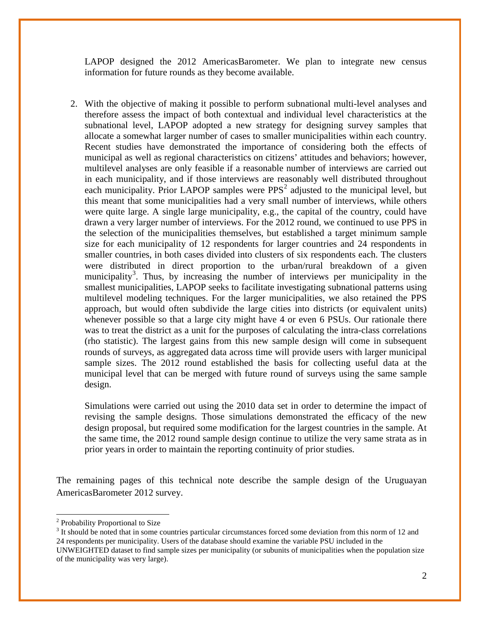LAPOP designed the 2012 AmericasBarometer. We plan to integrate new census information for future rounds as they become available.

2. With the objective of making it possible to perform subnational multi-level analyses and therefore assess the impact of both contextual and individual level characteristics at the subnational level, LAPOP adopted a new strategy for designing survey samples that allocate a somewhat larger number of cases to smaller municipalities within each country. Recent studies have demonstrated the importance of considering both the effects of municipal as well as regional characteristics on citizens' attitudes and behaviors; however, multilevel analyses are only feasible if a reasonable number of interviews are carried out in each municipality, and if those interviews are reasonably well distributed throughout each municipality. Prior LAPOP samples were  $PPS<sup>2</sup>$  $PPS<sup>2</sup>$  $PPS<sup>2</sup>$  adjusted to the municipal level, but this meant that some municipalities had a very small number of interviews, while others were quite large. A single large municipality, e.g., the capital of the country, could have drawn a very larger number of interviews. For the 2012 round, we continued to use PPS in the selection of the municipalities themselves, but established a target minimum sample size for each municipality of 12 respondents for larger countries and 24 respondents in smaller countries, in both cases divided into clusters of six respondents each. The clusters were distributed in direct proportion to the urban/rural breakdown of a given municipality<sup>[3](#page-1-0)</sup>. Thus, by increasing the number of interviews per municipality in the smallest municipalities, LAPOP seeks to facilitate investigating subnational patterns using multilevel modeling techniques. For the larger municipalities, we also retained the PPS approach, but would often subdivide the large cities into districts (or equivalent units) whenever possible so that a large city might have 4 or even 6 PSUs. Our rationale there was to treat the district as a unit for the purposes of calculating the intra-class correlations (rho statistic). The largest gains from this new sample design will come in subsequent rounds of surveys, as aggregated data across time will provide users with larger municipal sample sizes. The 2012 round established the basis for collecting useful data at the municipal level that can be merged with future round of surveys using the same sample design.

Simulations were carried out using the 2010 data set in order to determine the impact of revising the sample designs. Those simulations demonstrated the efficacy of the new design proposal, but required some modification for the largest countries in the sample. At the same time, the 2012 round sample design continue to utilize the very same strata as in prior years in order to maintain the reporting continuity of prior studies.

The remaining pages of this technical note describe the sample design of the Uruguayan AmericasBarometer 2012 survey.

<sup>2</sup> Probability Proportional to Size

<span id="page-1-0"></span><sup>&</sup>lt;sup>3</sup> It should be noted that in some countries particular circumstances forced some deviation from this norm of 12 and 24 respondents per municipality. Users of the database should examine the variable PSU included in the UNWEIGHTED dataset to find sample sizes per municipality (or subunits of municipalities when the population size of the municipality was very large).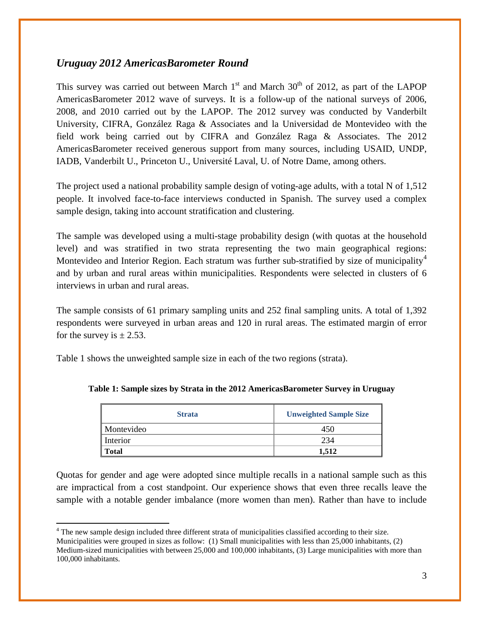## *Uruguay 2012 AmericasBarometer Round*

This survey was carried out between March  $1<sup>st</sup>$  and March  $30<sup>th</sup>$  of 2012, as part of the LAPOP AmericasBarometer 2012 wave of surveys. It is a follow-up of the national surveys of 2006, 2008, and 2010 carried out by the LAPOP. The 2012 survey was conducted by Vanderbilt University, CIFRA, González Raga & Associates and la Universidad de Montevideo with the field work being carried out by CIFRA and González Raga & Associates. The 2012 AmericasBarometer received generous support from many sources, including USAID, UNDP, IADB, Vanderbilt U., Princeton U., Université Laval, U. of Notre Dame, among others.

The project used a national probability sample design of voting-age adults, with a total N of 1,512 people. It involved face-to-face interviews conducted in Spanish. The survey used a complex sample design, taking into account stratification and clustering.

The sample was developed using a multi-stage probability design (with quotas at the household level) and was stratified in two strata representing the two main geographical regions: Montevideo and Interior Region. Each stratum was further sub-stratified by size of municipality<sup>[4](#page-1-0)</sup> and by urban and rural areas within municipalities. Respondents were selected in clusters of 6 interviews in urban and rural areas.

The sample consists of 61 primary sampling units and 252 final sampling units. A total of 1,392 respondents were surveyed in urban areas and 120 in rural areas. The estimated margin of error for the survey is  $\pm$  2.53.

Table 1 shows the unweighted sample size in each of the two regions (strata).

| <b>Strata</b> | <b>Unweighted Sample Size</b> |
|---------------|-------------------------------|
| Montevideo    | 450                           |
| Interior      | 234                           |
| Total         | 1.512                         |

**Table 1: Sample sizes by Strata in the 2012 AmericasBarometer Survey in Uruguay**

Quotas for gender and age were adopted since multiple recalls in a national sample such as this are impractical from a cost standpoint. Our experience shows that even three recalls leave the sample with a notable gender imbalance (more women than men). Rather than have to include

<sup>4</sup> The new sample design included three different strata of municipalities classified according to their size. Municipalities were grouped in sizes as follow: (1) Small municipalities with less than 25,000 inhabitants, (2) Medium-sized municipalities with between 25,000 and 100,000 inhabitants, (3) Large municipalities with more than

<sup>100,000</sup> inhabitants.